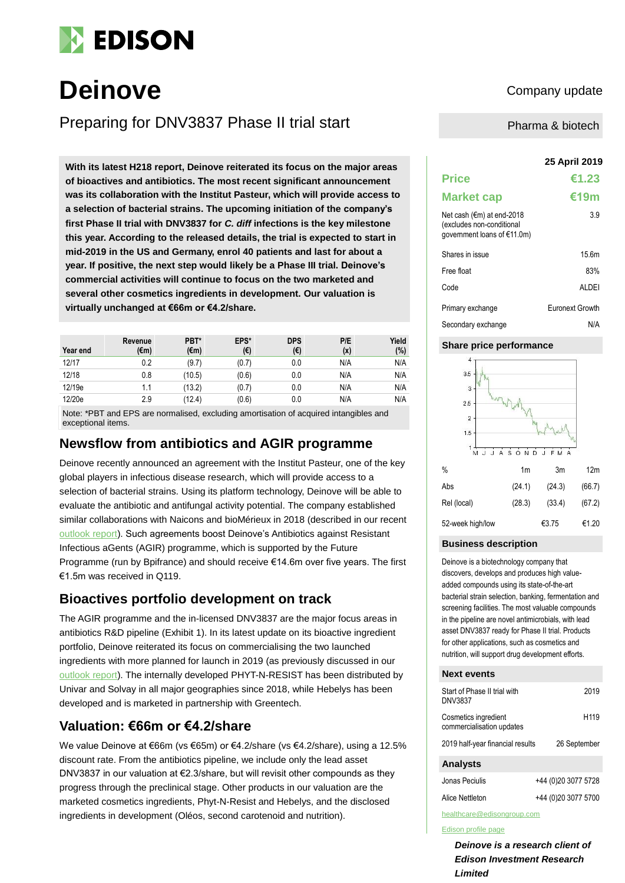

# **Deinove** Company update

Preparing for DNV3837 Phase II trial start

**25 April 2019 With its latest H218 report, Deinove reiterated its focus on the major areas of bioactives and antibiotics. The most recent significant announcement was its collaboration with the Institut Pasteur, which will provide access to a selection of bacterial strains. The upcoming initiation of the company's first Phase II trial with DNV3837 for** *C. diff* **infections is the key milestone this year. According to the released details, the trial is expected to start in mid-2019 in the US and Germany, enrol 40 patients and last for about a year. If positive, the next step would likely be a Phase III trial. Deinove's commercial activities will continue to focus on the two marketed and several other cosmetics ingredients in development. Our valuation is virtually unchanged at €66m or €4.2/share.**

| Year end | Revenue<br>(€m) | PBT*<br>(€m) | EPS*<br>(€) | <b>DPS</b><br>(€) | P/E<br>(x) | Yield<br>$(\%)$ |
|----------|-----------------|--------------|-------------|-------------------|------------|-----------------|
| 12/17    | 0.2             | (9.7)        | (0.7)       | 0.0               | N/A        | N/A             |
| 12/18    | 0.8             | (10.5)       | (0.6)       | 0.0               | N/A        | N/A             |
| 12/19e   | 1.1             | (13.2)       | (0.7)       | 0.0               | N/A        | N/A             |
| 12/20e   | 2.9             | (12.4)       | (0.6)       | 0.0               | N/A        | N/A             |

Note: \*PBT and EPS are normalised, excluding amortisation of acquired intangibles and exceptional items.

# **Newsflow from antibiotics and AGIR programme**

Deinove recently announced an agreement with the Institut Pasteur, one of the key global players in infectious disease research, which will provide access to a selection of bacterial strains. Using its platform technology, Deinove will be able to evaluate the antibiotic and antifungal activity potential. The company established similar collaborations with Naicons and bioMérieux in 2018 (described in our recent [outlook report\)](https://www.edisongroup.com/publication/diversified-biotech-championing-antibiotics-2/23652). Such agreements boost Deinove's Antibiotics against Resistant Infectious aGents (AGIR) programme, which is supported by the Future Programme (run by Bpifrance) and should receive €14.6m over five years. The first €1.5m was received in Q119.

## **Bioactives portfolio development on track**

The AGIR programme and the in-licensed DNV3837 are the major focus areas in antibiotics R&D pipeline (Exhibit 1). In its latest update on its bioactive ingredient portfolio, Deinove reiterated its focus on commercialising the two launched ingredients with more planned for launch in 2019 (as previously discussed in our [outlook report\)](https://www.edisongroup.com/publication/diversified-biotech-championing-antibiotics-2/23652/). The internally developed PHYT-N-RESIST has been distributed by Univar and Solvay in all major geographies since 2018, while Hebelys has been developed and is marketed in partnership with Greentech.

# **Valuation: €66m or €4.2/share**

We value Deinove at €66m (vs €65m) or €4.2/share (vs €4.2/share), using a 12.5% discount rate. From the antibiotics pipeline, we include only the lead asset DNV3837 in our valuation at €2.3/share, but will revisit other compounds as they progress through the preclinical stage. Other products in our valuation are the marketed cosmetics ingredients, Phyt-N-Resist and Hebelys, and the disclosed ingredients in development (Oléos, second carotenoid and nutrition).

Pharma & biotech

|                                                                                                  | <b>25 April 2019</b>   |
|--------------------------------------------------------------------------------------------------|------------------------|
| <b>Price</b>                                                                                     | €1.23                  |
| <b>Market cap</b>                                                                                | €19m                   |
| Net cash ( $\epsilon$ m) at end-2018<br>(excludes non-conditional<br>government loans of €11.0m) | 3.9                    |
| Shares in issue                                                                                  | 15.6m                  |
| Free float                                                                                       | 83%                    |
| Code                                                                                             | AI DFI                 |
| Primary exchange                                                                                 | <b>Euronext Growth</b> |
| Secondary exchange                                                                               | N/A                    |

#### **Share price performance**



#### **Business description**

Deinove is a biotechnology company that discovers, develops and produces high valueadded compounds using its state-of-the-art bacterial strain selection, banking, fermentation and screening facilities. The most valuable compounds in the pipeline are novel antimicrobials, with lead asset DNV3837 ready for Phase II trial. Products for other applications, such as cosmetics and nutrition, will support drug development efforts.

#### **Next events**

| Start of Phase II trial with<br>DNV3837           | 2019                |
|---------------------------------------------------|---------------------|
| Cosmetics ingredient<br>commercialisation updates | H <sub>119</sub>    |
| 2019 half-year financial results                  | 26 September        |
| <b>Analysts</b>                                   |                     |
| Jonas Peciulis                                    | +44 (0)20 3077 5728 |
| Alice Nettleton                                   | +44 (0)20 3077 5700 |

healthcare@edisongroup.com

#### [Edison profile page](http://www.edisoninvestmentresearch.co.uk/)

*Deinove is a research client of Edison Investment Research Limited*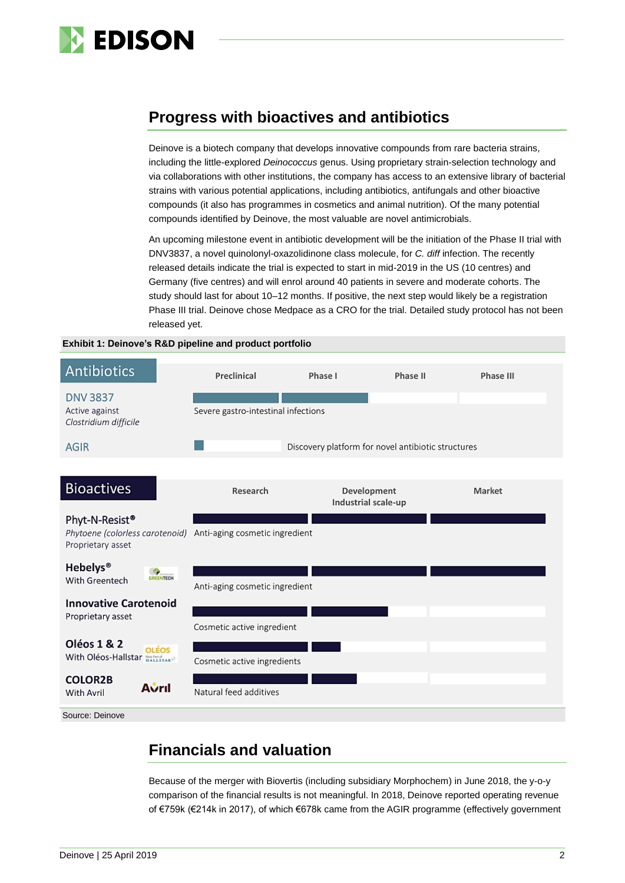

# **Progress with bioactives and antibiotics**

Deinove is a biotech company that develops innovative compounds from rare bacteria strains, including the little-explored *Deinococcus* genus. Using proprietary strain-selection technology and via collaborations with other institutions, the company has access to an extensive library of bacterial strains with various potential applications, including antibiotics, antifungals and other bioactive compounds (it also has programmes in cosmetics and animal nutrition). Of the many potential compounds identified by Deinove, the most valuable are novel antimicrobials.

An upcoming milestone event in antibiotic development will be the initiation of the Phase II trial with DNV3837, a novel quinolonyl-oxazolidinone class molecule, for *C. diff* infection. The recently released details indicate the trial is expected to start in mid-2019 in the US (10 centres) and Germany (five centres) and will enrol around 40 patients in severe and moderate cohorts. The study should last for about 10–12 months. If positive, the next step would likely be a registration Phase III trial. Deinove chose Medpace as a CRO for the trial. Detailed study protocol has not been released yet.

#### **Exhibit 1: Deinove's R&D pipeline and product portfolio**



# **Financials and valuation**

Because of the merger with Biovertis (including subsidiary Morphochem) in June 2018, the y-o-y comparison of the financial results is not meaningful. In 2018, Deinove reported operating revenue of €759k (€214k in 2017), of which €678k came from the AGIR programme (effectively government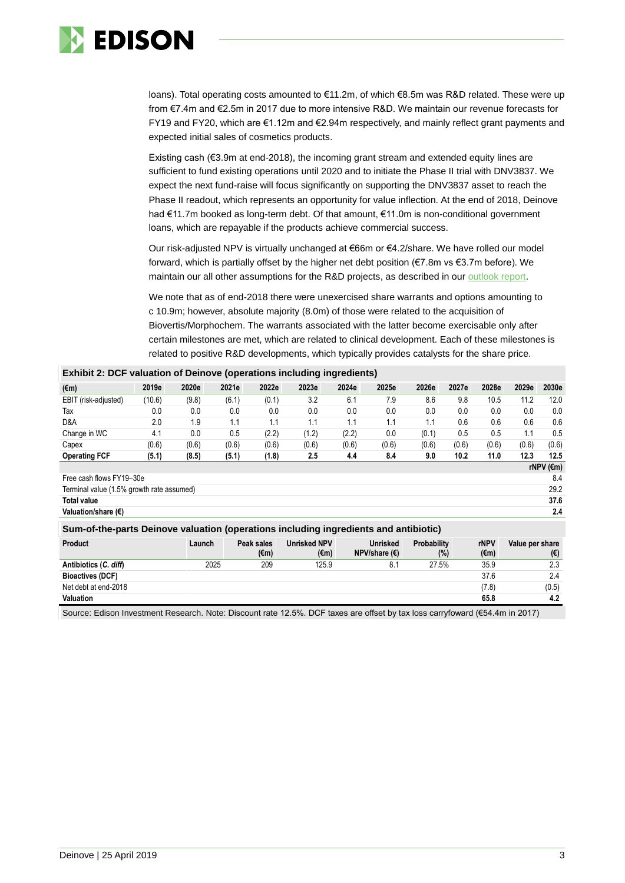

loans). Total operating costs amounted to €11.2m, of which €8.5m was R&D related. These were up from €7.4m and €2.5m in 2017 due to more intensive R&D. We maintain our revenue forecasts for FY19 and FY20, which are €1.12m and €2.94m respectively, and mainly reflect grant payments and expected initial sales of cosmetics products.

Existing cash (€3.9m at end-2018), the incoming grant stream and extended equity lines are sufficient to fund existing operations until 2020 and to initiate the Phase II trial with DNV3837. We expect the next fund-raise will focus significantly on supporting the DNV3837 asset to reach the Phase II readout, which represents an opportunity for value inflection. At the end of 2018, Deinove had €11.7m booked as long-term debt. Of that amount, €11.0m is non-conditional government loans, which are repayable if the products achieve commercial success.

Our risk-adjusted NPV is virtually unchanged at €66m or €4.2/share. We have rolled our model forward, which is partially offset by the higher net debt position (€7.8m vs €3.7m before). We maintain our all other assumptions for the R&D projects, as described in our [outlook report.](https://www.edisongroup.com/publication/diversified-biotech-championing-antibiotics-2/23652/)

We note that as of end-2018 there were unexercised share warrants and options amounting to c 10.9m; however, absolute majority (8.0m) of those were related to the acquisition of Biovertis/Morphochem. The warrants associated with the latter become exercisable only after certain milestones are met, which are related to clinical development. Each of these milestones is related to positive R&D developments, which typically provides catalysts for the share price.

| $\mathbf{r}$                                                                         |        |        |       |                    |                             |       |                                           |                              |       |                     |                 |       |
|--------------------------------------------------------------------------------------|--------|--------|-------|--------------------|-----------------------------|-------|-------------------------------------------|------------------------------|-------|---------------------|-----------------|-------|
| $(\epsilon m)$                                                                       | 2019e  | 2020e  | 2021e | 2022e              | 2023e                       | 2024e | 2025e                                     | 2026e                        | 2027e | 2028e               | 2029e           | 2030e |
| EBIT (risk-adjusted)                                                                 | (10.6) | (9.8)  | (6.1) | (0.1)              | 3.2                         | 6.1   | 7.9                                       | 8.6                          | 9.8   | 10.5                | 11.2            | 12.0  |
| Tax                                                                                  | 0.0    | 0.0    | 0.0   | 0.0                | 0.0                         | 0.0   | 0.0                                       | 0.0                          | 0.0   | 0.0                 | 0.0             | 0.0   |
| D&A                                                                                  | 2.0    | 1.9    | 1.1   | 1.1                | 1.1                         | 1.1   | 1.1                                       | 1.1                          | 0.6   | 0.6                 | 0.6             | 0.6   |
| Change in WC                                                                         | 4.1    | 0.0    | 0.5   | (2.2)              | (1.2)                       | (2.2) | 0.0                                       | (0.1)                        | 0.5   | 0.5                 | 1.1             | 0.5   |
| Capex                                                                                | (0.6)  | (0.6)  | (0.6) | (0.6)              | (0.6)                       | (0.6) | (0.6)                                     | (0.6)                        | (0.6) | (0.6)               | (0.6)           | (0.6) |
| <b>Operating FCF</b>                                                                 | (5.1)  | (8.5)  | (5.1) | (1.8)              | 2.5                         | 4.4   | 8.4                                       | 9.0                          | 10.2  | 11.0                | 12.3            | 12.5  |
| rNPV ( $\epsilon$ m)                                                                 |        |        |       |                    |                             |       |                                           |                              |       |                     |                 |       |
| Free cash flows FY19-30e                                                             |        |        |       |                    |                             |       |                                           |                              |       |                     |                 | 8.4   |
| 29.2<br>Terminal value (1.5% growth rate assumed)                                    |        |        |       |                    |                             |       |                                           |                              |       |                     |                 |       |
| <b>Total value</b>                                                                   |        |        |       |                    |                             |       |                                           |                              |       |                     |                 | 37.6  |
| Valuation/share (€)                                                                  |        |        |       |                    |                             |       |                                           |                              |       |                     |                 | 2.4   |
| Sum-of-the-parts Deinove valuation (operations including ingredients and antibiotic) |        |        |       |                    |                             |       |                                           |                              |       |                     |                 |       |
| <b>Product</b>                                                                       |        | Launch |       | Peak sales<br>(€m) | <b>Unrisked NPV</b><br>(€m) |       | <b>Unrisked</b><br>NPV/share $(\epsilon)$ | <b>Probability</b><br>$(\%)$ |       | <b>rNPV</b><br>(€m) | Value per share | (€)   |
| Antibiotics (C. diff)                                                                |        | 2025   |       | 209                | 125.9                       |       | 8.1                                       | 27.5%                        |       | 35.9                |                 | 2.3   |
| <b>Bioactives (DCF)</b>                                                              |        |        |       |                    |                             |       |                                           |                              |       | 37.6                |                 | 2.4   |

#### **Exhibit 2: DCF valuation of Deinove (operations including ingredients)**

Source: Edison Investment Research. Note: Discount rate 12.5%. DCF taxes are offset by tax loss carryfoward (€54.4m in 2017)

Net debt at end-2018 (7.8) (0.5) **Valuation 65.8 4.2**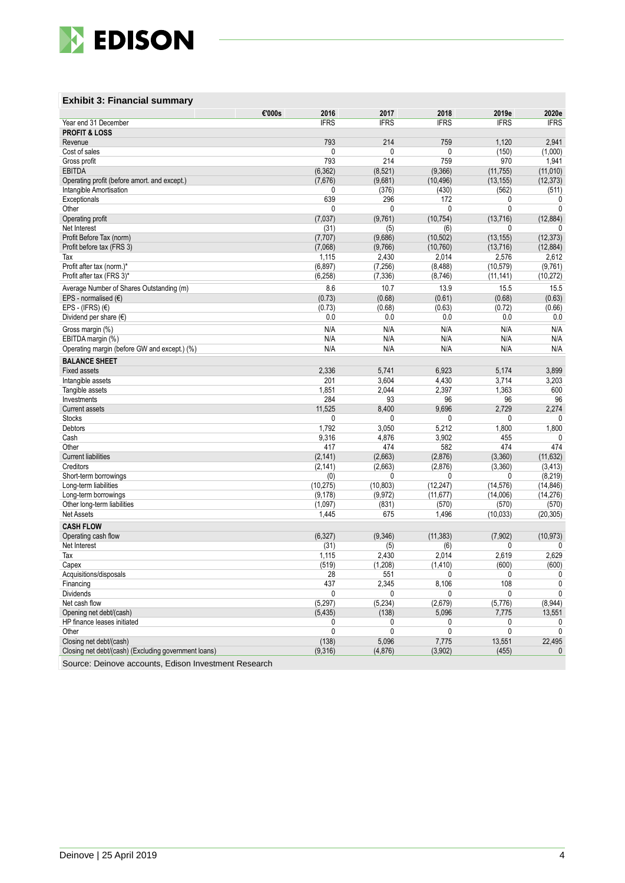

### **Exhibit 3: Financial summary**

|                                                      | €'000s<br>2016 | 2017        | 2018        | 2019e       | 2020e        |
|------------------------------------------------------|----------------|-------------|-------------|-------------|--------------|
| Year end 31 December                                 | <b>IFRS</b>    | <b>IFRS</b> | <b>IFRS</b> | <b>IFRS</b> | <b>IFRS</b>  |
| <b>PROFIT &amp; LOSS</b>                             |                |             |             |             |              |
| Revenue                                              | 793            | 214         | 759         | 1,120       | 2,941        |
| Cost of sales                                        | 0              | 0           | 0           | (150)       | (1,000)      |
| Gross profit                                         | 793            | 214         | 759         | 970         | 1,941        |
| <b>EBITDA</b>                                        | (6, 362)       | (8,521)     | (9,366)     | (11, 755)   | (11,010)     |
| Operating profit (before amort. and except.)         | (7,676)        | (9,681)     | (10, 496)   | (13, 155)   | (12, 373)    |
| Intangible Amortisation                              | 0              | (376)       | (430)       | (562)       | (511)        |
| Exceptionals                                         | 639            | 296         | 172         | 0           | 0            |
| Other                                                | 0              | 0           | 0           | 0           | $\mathbf{0}$ |
| Operating profit                                     | (7,037)        | (9,761)     | (10, 754)   | (13, 716)   | (12, 884)    |
| Net Interest                                         | (31)           | (5)         | (6)         | 0           | 0            |
| Profit Before Tax (norm)                             | (7, 707)       | (9,686)     | (10, 502)   | (13, 155)   | (12, 373)    |
| Profit before tax (FRS 3)                            | (7,068)        | (9,766)     | (10, 760)   | (13, 716)   | (12, 884)    |
| Tax                                                  | 1,115          | 2,430       | 2,014       | 2,576       | 2,612        |
| Profit after tax (norm.)*                            | (6, 897)       | (7, 256)    | (8, 488)    | (10, 579)   | (9,761)      |
| Profit after tax (FRS 3)*                            | (6, 258)       | (7, 336)    | (8,746)     | (11, 141)   | (10, 272)    |
| Average Number of Shares Outstanding (m)             | 8.6            | 10.7        | 13.9        | 15.5        | 15.5         |
| EPS - normalised $(E)$                               | (0.73)         | (0.68)      | (0.61)      | (0.68)      | (0.63)       |
| EPS - (IFRS) $(E)$                                   | (0.73)         | (0.68)      | (0.63)      | (0.72)      | (0.66)       |
| Dividend per share $(\epsilon)$                      | 0.0            | 0.0         | 0.0         | 0.0         | 0.0          |
|                                                      |                | N/A         |             |             |              |
| Gross margin (%)                                     | N/A            |             | N/A         | N/A         | N/A          |
| EBITDA margin (%)                                    | N/A<br>N/A     | N/A<br>N/A  | N/A<br>N/A  | N/A<br>N/A  | N/A          |
| Operating margin (before GW and except.) (%)         |                |             |             |             | N/A          |
| <b>BALANCE SHEET</b>                                 |                |             |             |             |              |
| <b>Fixed assets</b>                                  | 2,336          | 5,741       | 6,923       | 5,174       | 3,899        |
| Intangible assets                                    | 201            | 3,604       | 4,430       | 3,714       | 3,203        |
| Tangible assets                                      | 1,851          | 2,044       | 2,397       | 1,363       | 600          |
| Investments                                          | 284            | 93          | 96          | 96          | 96           |
| <b>Current assets</b>                                | 11,525         | 8,400       | 9,696       | 2,729       | 2,274        |
| <b>Stocks</b>                                        | 0              | 0           | 0           | 0           | 0            |
| Debtors                                              | 1,792          | 3,050       | 5,212       | 1,800       | 1,800        |
| Cash                                                 | 9,316          | 4,876       | 3,902       | 455         | 0            |
| Other                                                | 417            | 474         | 582         | 474         | 474          |
| <b>Current liabilities</b>                           | (2, 141)       | (2,663)     | (2,876)     | (3,360)     | (11, 632)    |
| Creditors                                            | (2, 141)       | (2,663)     | (2,876)     | (3,360)     | (3, 413)     |
| Short-term borrowings                                | (0)            | 0           | 0           | 0           | (8, 219)     |
| Long-term liabilities                                | (10, 275)      | (10, 803)   | (12, 247)   | (14, 576)   | (14, 846)    |
| Long-term borrowings                                 | (9, 178)       | (9, 972)    | (11, 677)   | (14,006)    | (14, 276)    |
| Other long-term liabilities                          | (1,097)        | (831)       | (570)       | (570)       | (570)        |
| <b>Net Assets</b>                                    | 1,445          | 675         | 1,496       | (10, 033)   | (20, 305)    |
| <b>CASH FLOW</b>                                     |                |             |             |             |              |
| Operating cash flow                                  | (6, 327)       | (9, 346)    | (11, 383)   | (7, 902)    | (10, 973)    |
| Net Interest                                         | (31)           | (5)         | (6)         | 0           | 0            |
| Tax                                                  | 1,115          | 2,430       | 2,014       | 2,619       | 2,629        |
| Capex                                                | (519)          | (1, 208)    | (1, 410)    | (600)       | (600)        |
| Acquisitions/disposals                               | 28             | 551         | U           | 0           | $\mathsf{O}$ |
| Financing                                            | 437            | 2,345       | 8,106       | 108         | 0            |
| <b>Dividends</b>                                     | 0              | 0           | 0           | 0           | 0            |
| Net cash flow                                        | (5,297)        | (5, 234)    | (2,679)     | (5,776)     | (8,944)      |
| Opening net debt/(cash)                              | (5, 435)       | (138)       | 5,096       | 7,775       | 13,551       |
| HP finance leases initiated                          | 0              | 0           | 0           | 0           |              |
| Other                                                | 0              | 0           | 0           | 0           | 0            |
| Closing net debt/(cash)                              | (138)          | 5,096       | 7,775       | 13,551      | 22,495       |
| Closing net debt/(cash) (Excluding government loans) | (9,316)        | (4, 876)    | (3,902)     | (455)       | $\mathbf{0}$ |
|                                                      |                |             |             |             |              |

Source: Deinove accounts, Edison Investment Research